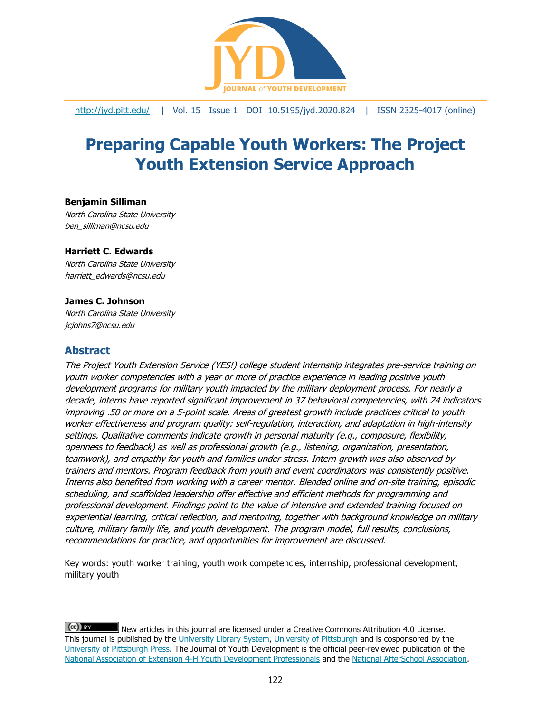

<http://jyd.pitt.edu/> | Vol. 15 Issue 1 DOI 10.5195/jyd.2020.824 | ISSN 2325-4017 (online)

# **Preparing Capable Youth Workers: The Project Youth Extension Service Approach**

#### **Benjamin Silliman**

North Carolina State University ben\_silliman@ncsu.edu

#### **Harriett C. Edwards**

North Carolina State University harriett\_edwards@ncsu.edu

#### **James C. Johnson**

North Carolina State University jcjohns7@ncsu.edu

### **Abstract**

The Project Youth Extension Service (YES!) college student internship integrates pre-service training on youth worker competencies with a year or more of practice experience in leading positive youth development programs for military youth impacted by the military deployment process. For nearly a decade, interns have reported significant improvement in 37 behavioral competencies, with 24 indicators improving .50 or more on a 5-point scale. Areas of greatest growth include practices critical to youth worker effectiveness and program quality: self-regulation, interaction, and adaptation in high-intensity settings. Qualitative comments indicate growth in personal maturity (e.g., composure, flexibility, openness to feedback) as well as professional growth (e.g., listening, organization, presentation, teamwork), and empathy for youth and families under stress. Intern growth was also observed by trainers and mentors. Program feedback from youth and event coordinators was consistently positive. Interns also benefited from working with a career mentor. Blended online and on-site training, episodic scheduling, and scaffolded leadership offer effective and efficient methods for programming and professional development. Findings point to the value of intensive and extended training focused on experiential learning, critical reflection, and mentoring, together with background knowledge on military culture, military family life, and youth development. The program model, full results, conclusions, recommendations for practice, and opportunities for improvement are discussed.

Key words: youth worker training, youth work competencies, internship, professional development, military youth

 $(cc)$  BY New articles in this journal are licensed under a Creative Commons Attribution 4.0 License. This journal is published by the [University Library System,](http://www.library.pitt.edu/) [University of Pittsburgh](http://www.pitt.edu/) and is cosponsored by the [University of Pittsburgh Press.](http://www.upress.pitt.edu/upressIndex.aspx) The Journal of Youth Development is the official peer-reviewed publication of the [National Association of Extension 4-H Youth Development Professionals](http://www.nae4ha.com/) and the [National AfterSchool Association.](http://naaweb.org/)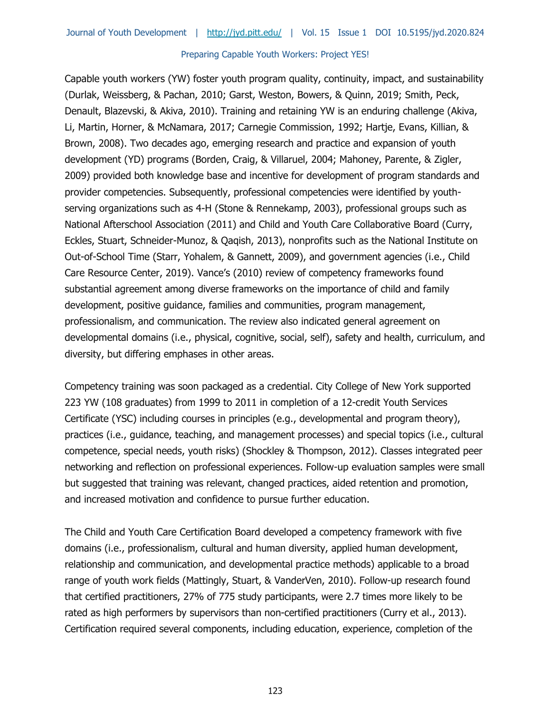Capable youth workers (YW) foster youth program quality, continuity, impact, and sustainability (Durlak, Weissberg, & Pachan, 2010; Garst, Weston, Bowers, & Quinn, 2019; Smith, Peck, Denault, Blazevski, & Akiva, 2010). Training and retaining YW is an enduring challenge (Akiva, Li, Martin, Horner, & McNamara, 2017; Carnegie Commission, 1992; Hartje, Evans, Killian, & Brown, 2008). Two decades ago, emerging research and practice and expansion of youth development (YD) programs (Borden, Craig, & Villaruel, 2004; Mahoney, Parente, & Zigler, 2009) provided both knowledge base and incentive for development of program standards and provider competencies. Subsequently, professional competencies were identified by youthserving organizations such as 4-H (Stone & Rennekamp, 2003), professional groups such as National Afterschool Association (2011) and Child and Youth Care Collaborative Board (Curry, Eckles, Stuart, Schneider-Munoz, & Qaqish, 2013), nonprofits such as the National Institute on Out-of-School Time (Starr, Yohalem, & Gannett, 2009), and government agencies (i.e., Child Care Resource Center, 2019). Vance's (2010) review of competency frameworks found substantial agreement among diverse frameworks on the importance of child and family development, positive guidance, families and communities, program management, professionalism, and communication. The review also indicated general agreement on developmental domains (i.e., physical, cognitive, social, self), safety and health, curriculum, and diversity, but differing emphases in other areas.

Competency training was soon packaged as a credential. City College of New York supported 223 YW (108 graduates) from 1999 to 2011 in completion of a 12-credit Youth Services Certificate (YSC) including courses in principles (e.g., developmental and program theory), practices (i.e., guidance, teaching, and management processes) and special topics (i.e., cultural competence, special needs, youth risks) (Shockley & Thompson, 2012). Classes integrated peer networking and reflection on professional experiences. Follow-up evaluation samples were small but suggested that training was relevant, changed practices, aided retention and promotion, and increased motivation and confidence to pursue further education.

The Child and Youth Care Certification Board developed a competency framework with five domains (i.e., professionalism, cultural and human diversity, applied human development, relationship and communication, and developmental practice methods) applicable to a broad range of youth work fields (Mattingly, Stuart, & VanderVen, 2010). Follow-up research found that certified practitioners, 27% of 775 study participants, were 2.7 times more likely to be rated as high performers by supervisors than non-certified practitioners (Curry et al., 2013). Certification required several components, including education, experience, completion of the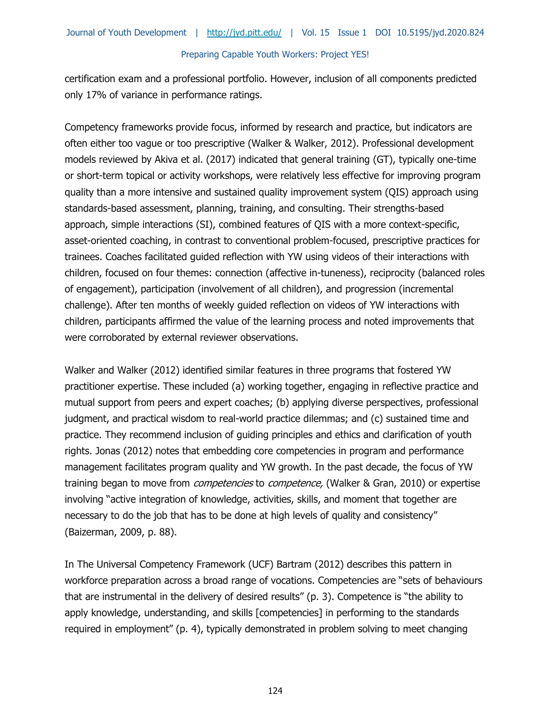certification exam and a professional portfolio. However, inclusion of all components predicted only 17% of variance in performance ratings.

Competency frameworks provide focus, informed by research and practice, but indicators are often either too vague or too prescriptive (Walker & Walker, 2012). Professional development models reviewed by Akiva et al. (2017) indicated that general training (GT), typically one-time or short-term topical or activity workshops, were relatively less effective for improving program quality than a more intensive and sustained quality improvement system (QIS) approach using standards-based assessment, planning, training, and consulting. Their strengths-based approach, simple interactions (SI), combined features of QIS with a more context-specific, asset-oriented coaching, in contrast to conventional problem-focused, prescriptive practices for trainees. Coaches facilitated guided reflection with YW using videos of their interactions with children, focused on four themes: connection (affective in-tuneness), reciprocity (balanced roles of engagement), participation (involvement of all children), and progression (incremental challenge). After ten months of weekly guided reflection on videos of YW interactions with children, participants affirmed the value of the learning process and noted improvements that were corroborated by external reviewer observations.

Walker and Walker (2012) identified similar features in three programs that fostered YW practitioner expertise. These included (a) working together, engaging in reflective practice and mutual support from peers and expert coaches; (b) applying diverse perspectives, professional judgment, and practical wisdom to real-world practice dilemmas; and (c) sustained time and practice. They recommend inclusion of guiding principles and ethics and clarification of youth rights. Jonas (2012) notes that embedding core competencies in program and performance management facilitates program quality and YW growth. In the past decade, the focus of YW training began to move from *competencies* to *competence*, (Walker & Gran, 2010) or expertise involving "active integration of knowledge, activities, skills, and moment that together are necessary to do the job that has to be done at high levels of quality and consistency" (Baizerman, 2009, p. 88).

In The Universal Competency Framework (UCF) Bartram (2012) describes this pattern in workforce preparation across a broad range of vocations. Competencies are "sets of behaviours that are instrumental in the delivery of desired results" (p. 3). Competence is "the ability to apply knowledge, understanding, and skills [competencies] in performing to the standards required in employment" (p. 4), typically demonstrated in problem solving to meet changing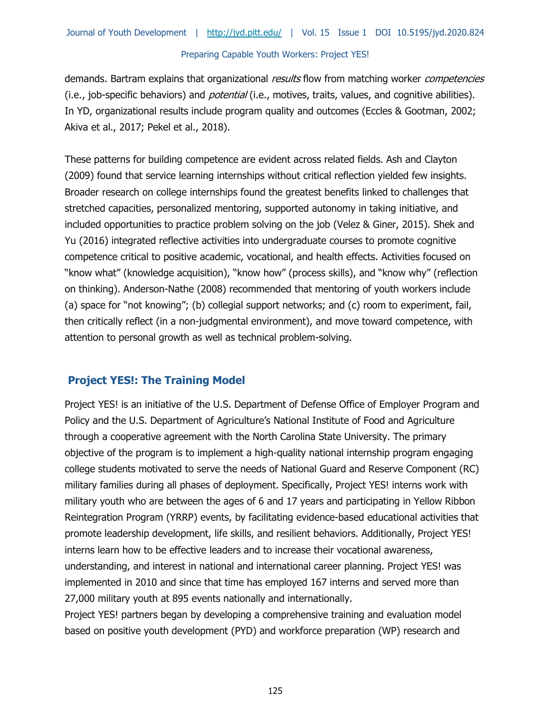demands. Bartram explains that organizational results flow from matching worker competencies (i.e., job-specific behaviors) and *potential* (i.e., motives, traits, values, and cognitive abilities). In YD, organizational results include program quality and outcomes (Eccles & Gootman, 2002; Akiva et al., 2017; Pekel et al., 2018).

These patterns for building competence are evident across related fields. Ash and Clayton (2009) found that service learning internships without critical reflection yielded few insights. Broader research on college internships found the greatest benefits linked to challenges that stretched capacities, personalized mentoring, supported autonomy in taking initiative, and included opportunities to practice problem solving on the job (Velez & Giner, 2015). Shek and Yu (2016) integrated reflective activities into undergraduate courses to promote cognitive competence critical to positive academic, vocational, and health effects. Activities focused on "know what" (knowledge acquisition), "know how" (process skills), and "know why" (reflection on thinking). Anderson-Nathe (2008) recommended that mentoring of youth workers include (a) space for "not knowing"; (b) collegial support networks; and (c) room to experiment, fail, then critically reflect (in a non-judgmental environment), and move toward competence, with attention to personal growth as well as technical problem-solving.

# **Project YES!: The Training Model**

Project YES! is an initiative of the U.S. Department of Defense Office of Employer Program and Policy and the U.S. Department of Agriculture's National Institute of Food and Agriculture through a cooperative agreement with the North Carolina State University. The primary objective of the program is to implement a high-quality national internship program engaging college students motivated to serve the needs of National Guard and Reserve Component (RC) military families during all phases of deployment. Specifically, Project YES! interns work with military youth who are between the ages of 6 and 17 years and participating in Yellow Ribbon Reintegration Program (YRRP) events, by facilitating evidence-based educational activities that promote leadership development, life skills, and resilient behaviors. Additionally, Project YES! interns learn how to be effective leaders and to increase their vocational awareness, understanding, and interest in national and international career planning. Project YES! was implemented in 2010 and since that time has employed 167 interns and served more than 27,000 military youth at 895 events nationally and internationally.

Project YES! partners began by developing a comprehensive training and evaluation model based on positive youth development (PYD) and workforce preparation (WP) research and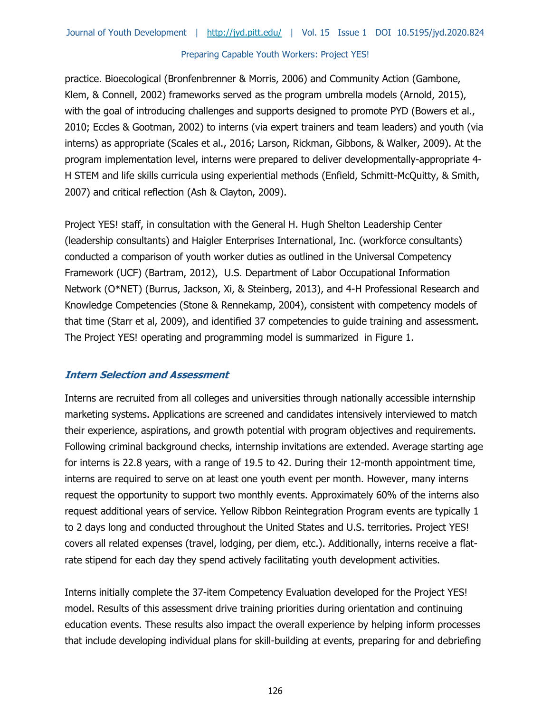practice. Bioecological (Bronfenbrenner & Morris, 2006) and Community Action (Gambone, Klem, & Connell, 2002) frameworks served as the program umbrella models (Arnold, 2015), with the goal of introducing challenges and supports designed to promote PYD (Bowers et al., 2010; Eccles & Gootman, 2002) to interns (via expert trainers and team leaders) and youth (via interns) as appropriate (Scales et al., 2016; Larson, Rickman, Gibbons, & Walker, 2009). At the program implementation level, interns were prepared to deliver developmentally-appropriate 4- H STEM and life skills curricula using experiential methods (Enfield, Schmitt-McQuitty, & Smith, 2007) and critical reflection (Ash & Clayton, 2009).

Project YES! staff, in consultation with the General H. Hugh Shelton Leadership Center (leadership consultants) and Haigler Enterprises International, Inc. (workforce consultants) conducted a comparison of youth worker duties as outlined in the Universal Competency Framework (UCF) (Bartram, 2012), U.S. Department of Labor Occupational Information Network (O\*NET) (Burrus, Jackson, Xi, & Steinberg, 2013), and 4-H Professional Research and Knowledge Competencies (Stone & Rennekamp, 2004), consistent with competency models of that time (Starr et al, 2009), and identified 37 competencies to guide training and assessment. The Project YES! operating and programming model is summarized in Figure 1.

### **Intern Selection and Assessment**

Interns are recruited from all colleges and universities through nationally accessible internship marketing systems. Applications are screened and candidates intensively interviewed to match their experience, aspirations, and growth potential with program objectives and requirements. Following criminal background checks, internship invitations are extended. Average starting age for interns is 22.8 years, with a range of 19.5 to 42. During their 12-month appointment time, interns are required to serve on at least one youth event per month. However, many interns request the opportunity to support two monthly events. Approximately 60% of the interns also request additional years of service. Yellow Ribbon Reintegration Program events are typically 1 to 2 days long and conducted throughout the United States and U.S. territories. Project YES! covers all related expenses (travel, lodging, per diem, etc.). Additionally, interns receive a flatrate stipend for each day they spend actively facilitating youth development activities.

Interns initially complete the 37-item Competency Evaluation developed for the Project YES! model. Results of this assessment drive training priorities during orientation and continuing education events. These results also impact the overall experience by helping inform processes that include developing individual plans for skill-building at events, preparing for and debriefing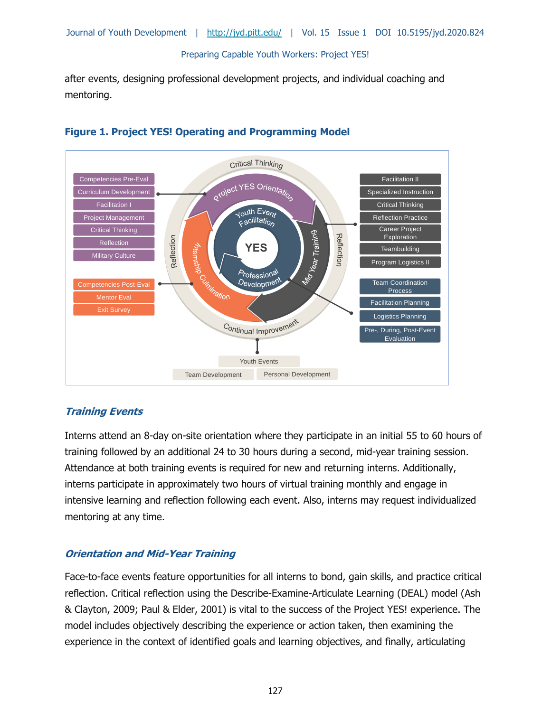after events, designing professional development projects, and individual coaching and mentoring.





# **Training Events**

Interns attend an 8-day on-site orientation where they participate in an initial 55 to 60 hours of training followed by an additional 24 to 30 hours during a second, mid-year training session. Attendance at both training events is required for new and returning interns. Additionally, interns participate in approximately two hours of virtual training monthly and engage in intensive learning and reflection following each event. Also, interns may request individualized mentoring at any time.

### **Orientation and Mid-Year Training**

Face-to-face events feature opportunities for all interns to bond, gain skills, and practice critical reflection. Critical reflection using the Describe-Examine-Articulate Learning (DEAL) model (Ash & Clayton, 2009; Paul & Elder, 2001) is vital to the success of the Project YES! experience. The model includes objectively describing the experience or action taken, then examining the experience in the context of identified goals and learning objectives, and finally, articulating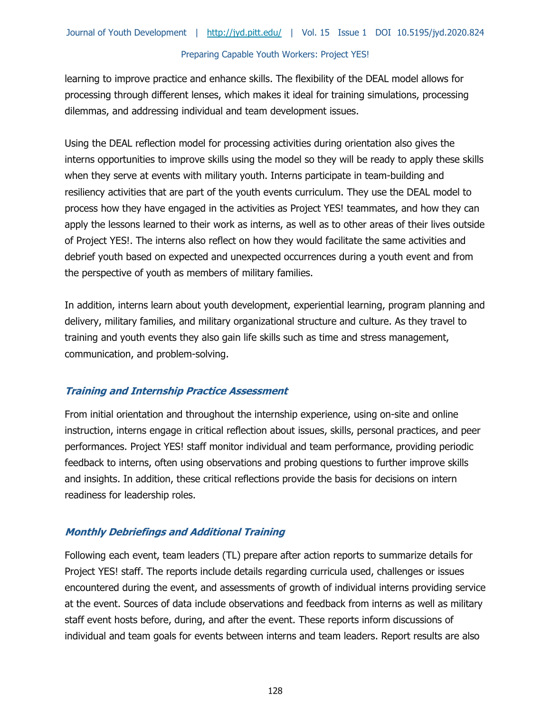learning to improve practice and enhance skills. The flexibility of the DEAL model allows for processing through different lenses, which makes it ideal for training simulations, processing dilemmas, and addressing individual and team development issues.

Using the DEAL reflection model for processing activities during orientation also gives the interns opportunities to improve skills using the model so they will be ready to apply these skills when they serve at events with military youth. Interns participate in team-building and resiliency activities that are part of the youth events curriculum. They use the DEAL model to process how they have engaged in the activities as Project YES! teammates, and how they can apply the lessons learned to their work as interns, as well as to other areas of their lives outside of Project YES!. The interns also reflect on how they would facilitate the same activities and debrief youth based on expected and unexpected occurrences during a youth event and from the perspective of youth as members of military families.

In addition, interns learn about youth development, experiential learning, program planning and delivery, military families, and military organizational structure and culture. As they travel to training and youth events they also gain life skills such as time and stress management, communication, and problem-solving.

### **Training and Internship Practice Assessment**

From initial orientation and throughout the internship experience, using on-site and online instruction, interns engage in critical reflection about issues, skills, personal practices, and peer performances. Project YES! staff monitor individual and team performance, providing periodic feedback to interns, often using observations and probing questions to further improve skills and insights. In addition, these critical reflections provide the basis for decisions on intern readiness for leadership roles.

### **Monthly Debriefings and Additional Training**

Following each event, team leaders (TL) prepare after action reports to summarize details for Project YES! staff. The reports include details regarding curricula used, challenges or issues encountered during the event, and assessments of growth of individual interns providing service at the event. Sources of data include observations and feedback from interns as well as military staff event hosts before, during, and after the event. These reports inform discussions of individual and team goals for events between interns and team leaders. Report results are also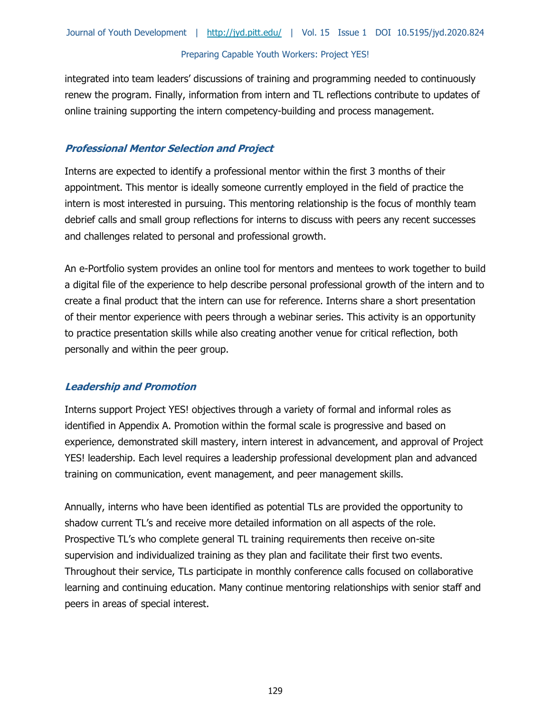integrated into team leaders' discussions of training and programming needed to continuously renew the program. Finally, information from intern and TL reflections contribute to updates of online training supporting the intern competency-building and process management.

### **Professional Mentor Selection and Project**

Interns are expected to identify a professional mentor within the first 3 months of their appointment. This mentor is ideally someone currently employed in the field of practice the intern is most interested in pursuing. This mentoring relationship is the focus of monthly team debrief calls and small group reflections for interns to discuss with peers any recent successes and challenges related to personal and professional growth.

An e-Portfolio system provides an online tool for mentors and mentees to work together to build a digital file of the experience to help describe personal professional growth of the intern and to create a final product that the intern can use for reference. Interns share a short presentation of their mentor experience with peers through a webinar series. This activity is an opportunity to practice presentation skills while also creating another venue for critical reflection, both personally and within the peer group.

### **Leadership and Promotion**

Interns support Project YES! objectives through a variety of formal and informal roles as identified in Appendix A. Promotion within the formal scale is progressive and based on experience, demonstrated skill mastery, intern interest in advancement, and approval of Project YES! leadership. Each level requires a leadership professional development plan and advanced training on communication, event management, and peer management skills.

Annually, interns who have been identified as potential TLs are provided the opportunity to shadow current TL's and receive more detailed information on all aspects of the role. Prospective TL's who complete general TL training requirements then receive on-site supervision and individualized training as they plan and facilitate their first two events. Throughout their service, TLs participate in monthly conference calls focused on collaborative learning and continuing education. Many continue mentoring relationships with senior staff and peers in areas of special interest.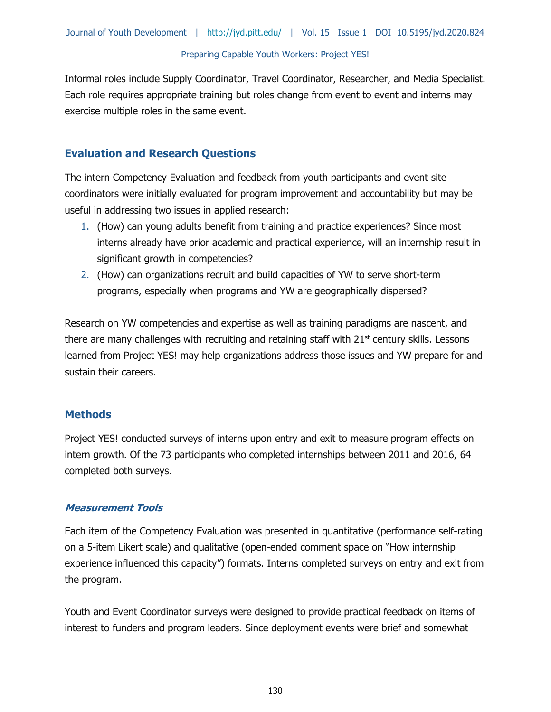Informal roles include Supply Coordinator, Travel Coordinator, Researcher, and Media Specialist. Each role requires appropriate training but roles change from event to event and interns may exercise multiple roles in the same event.

# **Evaluation and Research Questions**

The intern Competency Evaluation and feedback from youth participants and event site coordinators were initially evaluated for program improvement and accountability but may be useful in addressing two issues in applied research:

- 1. (How) can young adults benefit from training and practice experiences? Since most interns already have prior academic and practical experience, will an internship result in significant growth in competencies?
- 2. (How) can organizations recruit and build capacities of YW to serve short-term programs, especially when programs and YW are geographically dispersed?

Research on YW competencies and expertise as well as training paradigms are nascent, and there are many challenges with recruiting and retaining staff with 21<sup>st</sup> century skills. Lessons learned from Project YES! may help organizations address those issues and YW prepare for and sustain their careers.

### **Methods**

Project YES! conducted surveys of interns upon entry and exit to measure program effects on intern growth. Of the 73 participants who completed internships between 2011 and 2016, 64 completed both surveys.

### **Measurement Tools**

Each item of the Competency Evaluation was presented in quantitative (performance self-rating on a 5-item Likert scale) and qualitative (open-ended comment space on "How internship experience influenced this capacity") formats. Interns completed surveys on entry and exit from the program.

Youth and Event Coordinator surveys were designed to provide practical feedback on items of interest to funders and program leaders. Since deployment events were brief and somewhat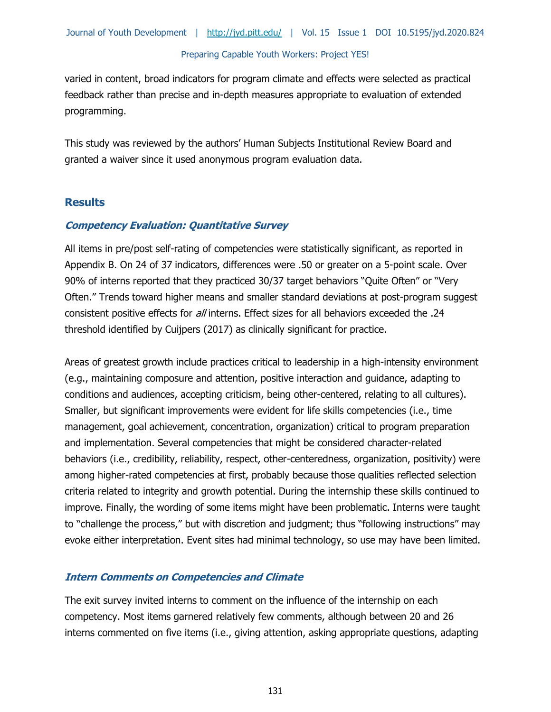varied in content, broad indicators for program climate and effects were selected as practical feedback rather than precise and in-depth measures appropriate to evaluation of extended programming.

This study was reviewed by the authors' Human Subjects Institutional Review Board and granted a waiver since it used anonymous program evaluation data.

### **Results**

### **Competency Evaluation: Quantitative Survey**

All items in pre/post self-rating of competencies were statistically significant, as reported in Appendix B. On 24 of 37 indicators, differences were .50 or greater on a 5-point scale. Over 90% of interns reported that they practiced 30/37 target behaviors "Quite Often" or "Very Often." Trends toward higher means and smaller standard deviations at post-program suggest consistent positive effects for all interns. Effect sizes for all behaviors exceeded the .24 threshold identified by Cuijpers (2017) as clinically significant for practice.

Areas of greatest growth include practices critical to leadership in a high-intensity environment (e.g., maintaining composure and attention, positive interaction and guidance, adapting to conditions and audiences, accepting criticism, being other-centered, relating to all cultures). Smaller, but significant improvements were evident for life skills competencies (i.e., time management, goal achievement, concentration, organization) critical to program preparation and implementation. Several competencies that might be considered character-related behaviors (i.e., credibility, reliability, respect, other-centeredness, organization, positivity) were among higher-rated competencies at first, probably because those qualities reflected selection criteria related to integrity and growth potential. During the internship these skills continued to improve. Finally, the wording of some items might have been problematic. Interns were taught to "challenge the process," but with discretion and judgment; thus "following instructions" may evoke either interpretation. Event sites had minimal technology, so use may have been limited.

### **Intern Comments on Competencies and Climate**

The exit survey invited interns to comment on the influence of the internship on each competency. Most items garnered relatively few comments, although between 20 and 26 interns commented on five items (i.e., giving attention, asking appropriate questions, adapting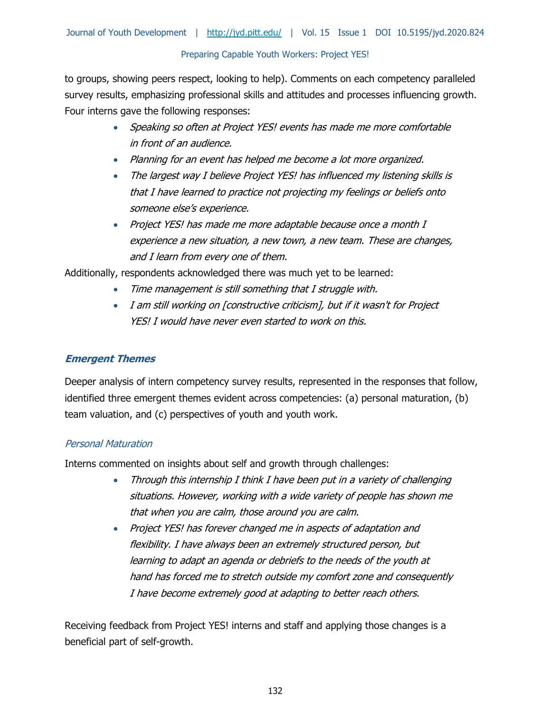to groups, showing peers respect, looking to help). Comments on each competency paralleled survey results, emphasizing professional skills and attitudes and processes influencing growth. Four interns gave the following responses:

- Speaking so often at Project YES! events has made me more comfortable in front of an audience.
- Planning for an event has helped me become a lot more organized.
- The largest way I believe Project YES! has influenced my listening skills is that I have learned to practice not projecting my feelings or beliefs onto someone else's experience.
- Project YES! has made me more adaptable because once a month I experience a new situation, a new town, a new team. These are changes, and I learn from every one of them.

Additionally, respondents acknowledged there was much yet to be learned:

- Time management is still something that I struggle with.
- I am still working on [constructive criticism], but if it wasn't for Project YES! I would have never even started to work on this.

# **Emergent Themes**

Deeper analysis of intern competency survey results, represented in the responses that follow, identified three emergent themes evident across competencies: (a) personal maturation, (b) team valuation, and (c) perspectives of youth and youth work.

### Personal Maturation

Interns commented on insights about self and growth through challenges:

- Through this internship I think I have been put in a variety of challenging situations. However, working with a wide variety of people has shown me that when you are calm, those around you are calm.
- Project YES! has forever changed me in aspects of adaptation and flexibility. I have always been an extremely structured person, but learning to adapt an agenda or debriefs to the needs of the youth at hand has forced me to stretch outside my comfort zone and consequently I have become extremely good at adapting to better reach others.

Receiving feedback from Project YES! interns and staff and applying those changes is a beneficial part of self-growth.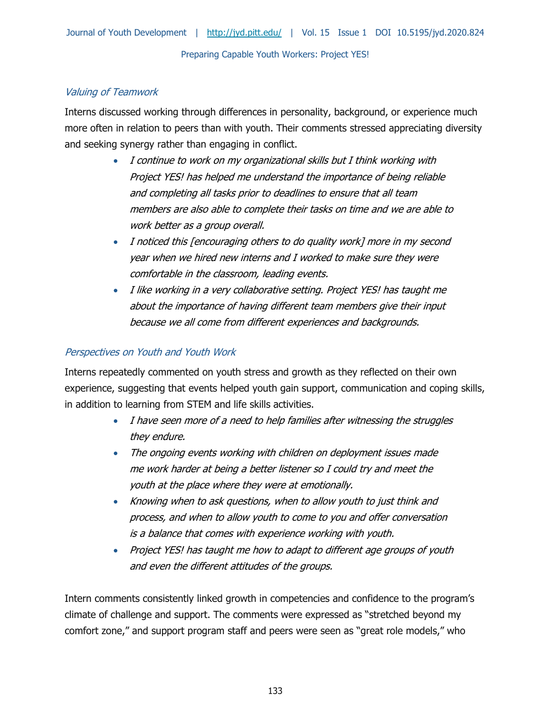# Valuing of Teamwork

Interns discussed working through differences in personality, background, or experience much more often in relation to peers than with youth. Their comments stressed appreciating diversity and seeking synergy rather than engaging in conflict.

- I continue to work on my organizational skills but I think working with Project YES! has helped me understand the importance of being reliable and completing all tasks prior to deadlines to ensure that all team members are also able to complete their tasks on time and we are able to work better as a group overall.
- I noticed this [encouraging others to do quality work] more in my second year when we hired new interns and I worked to make sure they were comfortable in the classroom, leading events.
- I like working in a very collaborative setting. Project YES! has taught me about the importance of having different team members give their input because we all come from different experiences and backgrounds.

# Perspectives on Youth and Youth Work

Interns repeatedly commented on youth stress and growth as they reflected on their own experience, suggesting that events helped youth gain support, communication and coping skills, in addition to learning from STEM and life skills activities.

- I have seen more of a need to help families after witnessing the struggles they endure.
- The ongoing events working with children on deployment issues made me work harder at being a better listener so I could try and meet the youth at the place where they were at emotionally.
- Knowing when to ask questions, when to allow youth to just think and process, and when to allow youth to come to you and offer conversation is a balance that comes with experience working with youth.
- Project YES! has taught me how to adapt to different age groups of youth and even the different attitudes of the groups.

Intern comments consistently linked growth in competencies and confidence to the program's climate of challenge and support. The comments were expressed as "stretched beyond my comfort zone," and support program staff and peers were seen as "great role models," who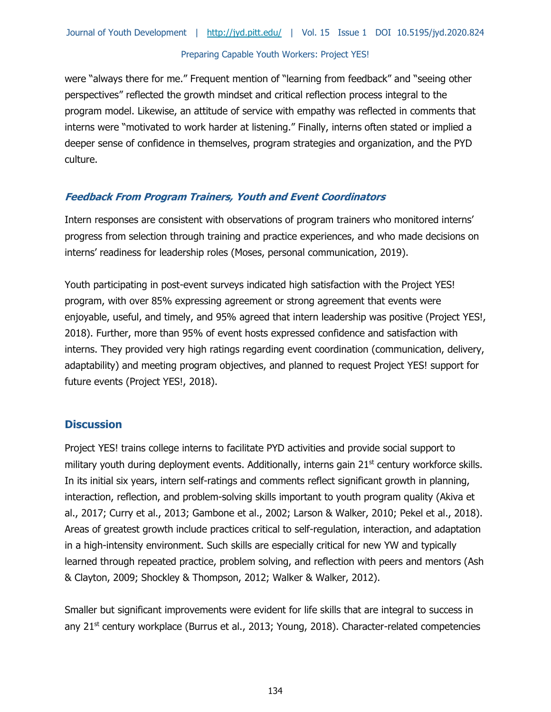were "always there for me." Frequent mention of "learning from feedback" and "seeing other perspectives" reflected the growth mindset and critical reflection process integral to the program model. Likewise, an attitude of service with empathy was reflected in comments that interns were "motivated to work harder at listening." Finally, interns often stated or implied a deeper sense of confidence in themselves, program strategies and organization, and the PYD culture.

### **Feedback From Program Trainers, Youth and Event Coordinators**

Intern responses are consistent with observations of program trainers who monitored interns' progress from selection through training and practice experiences, and who made decisions on interns' readiness for leadership roles (Moses, personal communication, 2019).

Youth participating in post-event surveys indicated high satisfaction with the Project YES! program, with over 85% expressing agreement or strong agreement that events were enjoyable, useful, and timely, and 95% agreed that intern leadership was positive (Project YES!, 2018). Further, more than 95% of event hosts expressed confidence and satisfaction with interns. They provided very high ratings regarding event coordination (communication, delivery, adaptability) and meeting program objectives, and planned to request Project YES! support for future events (Project YES!, 2018).

### **Discussion**

Project YES! trains college interns to facilitate PYD activities and provide social support to military youth during deployment events. Additionally, interns gain 21<sup>st</sup> century workforce skills. In its initial six years, intern self-ratings and comments reflect significant growth in planning, interaction, reflection, and problem-solving skills important to youth program quality (Akiva et al., 2017; Curry et al., 2013; Gambone et al., 2002; Larson & Walker, 2010; Pekel et al., 2018). Areas of greatest growth include practices critical to self-regulation, interaction, and adaptation in a high-intensity environment. Such skills are especially critical for new YW and typically learned through repeated practice, problem solving, and reflection with peers and mentors (Ash & Clayton, 2009; Shockley & Thompson, 2012; Walker & Walker, 2012).

Smaller but significant improvements were evident for life skills that are integral to success in any 21<sup>st</sup> century workplace (Burrus et al., 2013; Young, 2018). Character-related competencies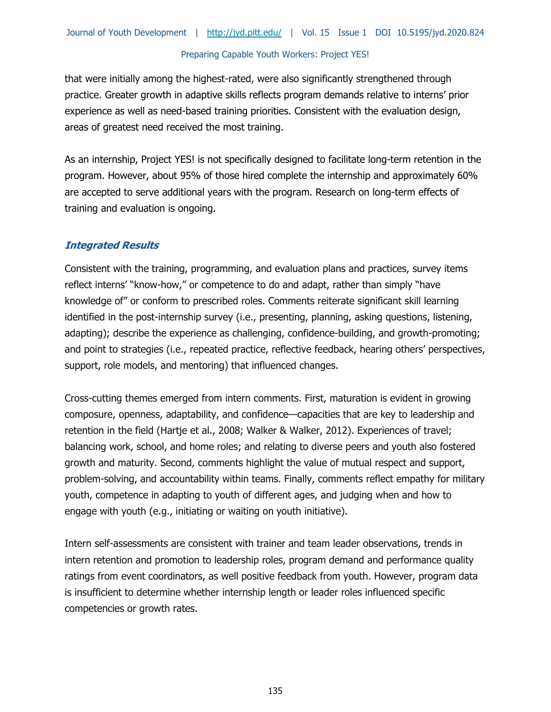that were initially among the highest-rated, were also significantly strengthened through practice. Greater growth in adaptive skills reflects program demands relative to interns' prior experience as well as need-based training priorities. Consistent with the evaluation design, areas of greatest need received the most training.

As an internship, Project YES! is not specifically designed to facilitate long-term retention in the program. However, about 95% of those hired complete the internship and approximately 60% are accepted to serve additional years with the program. Research on long-term effects of training and evaluation is ongoing.

# **Integrated Results**

Consistent with the training, programming, and evaluation plans and practices, survey items reflect interns' "know-how," or competence to do and adapt, rather than simply "have knowledge of" or conform to prescribed roles. Comments reiterate significant skill learning identified in the post-internship survey (i.e., presenting, planning, asking questions, listening, adapting); describe the experience as challenging, confidence-building, and growth-promoting; and point to strategies (i.e., repeated practice, reflective feedback, hearing others' perspectives, support, role models, and mentoring) that influenced changes.

Cross-cutting themes emerged from intern comments. First, maturation is evident in growing composure, openness, adaptability, and confidence—capacities that are key to leadership and retention in the field (Hartje et al., 2008; Walker & Walker, 2012). Experiences of travel; balancing work, school, and home roles; and relating to diverse peers and youth also fostered growth and maturity. Second, comments highlight the value of mutual respect and support, problem-solving, and accountability within teams. Finally, comments reflect empathy for military youth, competence in adapting to youth of different ages, and judging when and how to engage with youth (e.g., initiating or waiting on youth initiative).

Intern self-assessments are consistent with trainer and team leader observations, trends in intern retention and promotion to leadership roles, program demand and performance quality ratings from event coordinators, as well positive feedback from youth. However, program data is insufficient to determine whether internship length or leader roles influenced specific competencies or growth rates.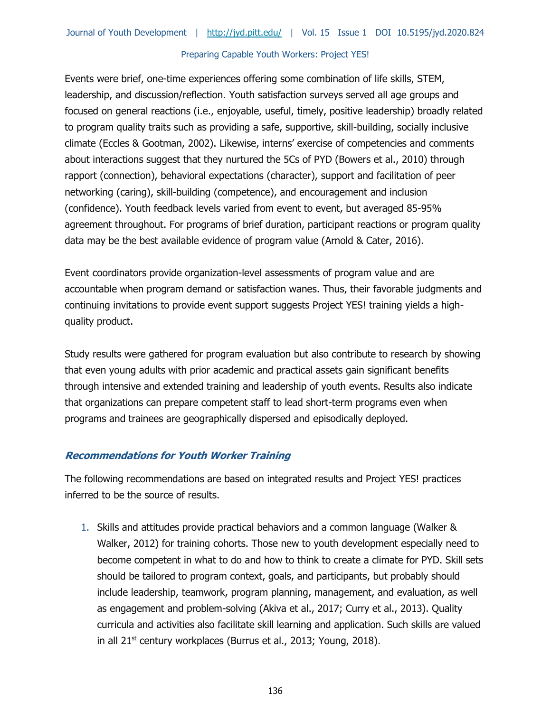Events were brief, one-time experiences offering some combination of life skills, STEM, leadership, and discussion/reflection. Youth satisfaction surveys served all age groups and focused on general reactions (i.e., enjoyable, useful, timely, positive leadership) broadly related to program quality traits such as providing a safe, supportive, skill-building, socially inclusive climate (Eccles & Gootman, 2002). Likewise, interns' exercise of competencies and comments about interactions suggest that they nurtured the 5Cs of PYD (Bowers et al., 2010) through rapport (connection), behavioral expectations (character), support and facilitation of peer networking (caring), skill-building (competence), and encouragement and inclusion (confidence). Youth feedback levels varied from event to event, but averaged 85-95% agreement throughout. For programs of brief duration, participant reactions or program quality data may be the best available evidence of program value (Arnold & Cater, 2016).

Event coordinators provide organization-level assessments of program value and are accountable when program demand or satisfaction wanes. Thus, their favorable judgments and continuing invitations to provide event support suggests Project YES! training yields a highquality product.

Study results were gathered for program evaluation but also contribute to research by showing that even young adults with prior academic and practical assets gain significant benefits through intensive and extended training and leadership of youth events. Results also indicate that organizations can prepare competent staff to lead short-term programs even when programs and trainees are geographically dispersed and episodically deployed.

### **Recommendations for Youth Worker Training**

The following recommendations are based on integrated results and Project YES! practices inferred to be the source of results.

1. Skills and attitudes provide practical behaviors and a common language (Walker & Walker, 2012) for training cohorts. Those new to youth development especially need to become competent in what to do and how to think to create a climate for PYD. Skill sets should be tailored to program context, goals, and participants, but probably should include leadership, teamwork, program planning, management, and evaluation, as well as engagement and problem-solving (Akiva et al., 2017; Curry et al., 2013). Quality curricula and activities also facilitate skill learning and application. Such skills are valued in all 21<sup>st</sup> century workplaces (Burrus et al., 2013; Young, 2018).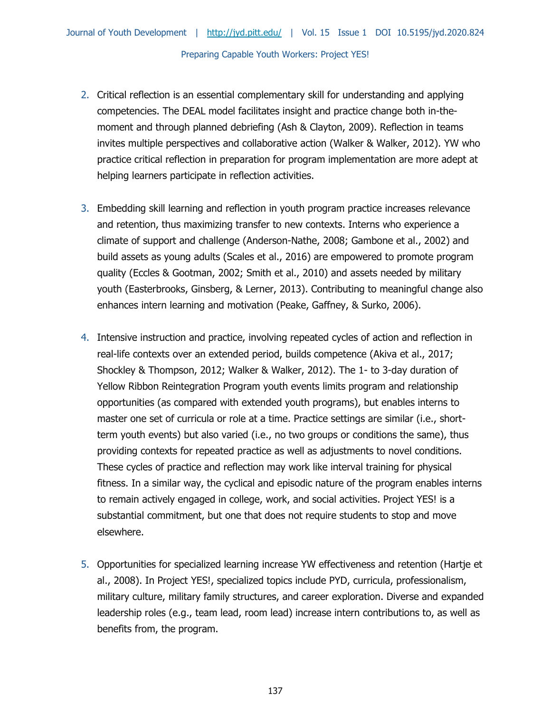- 2. Critical reflection is an essential complementary skill for understanding and applying competencies. The DEAL model facilitates insight and practice change both in-themoment and through planned debriefing (Ash & Clayton, 2009). Reflection in teams invites multiple perspectives and collaborative action (Walker & Walker, 2012). YW who practice critical reflection in preparation for program implementation are more adept at helping learners participate in reflection activities.
- 3. Embedding skill learning and reflection in youth program practice increases relevance and retention, thus maximizing transfer to new contexts. Interns who experience a climate of support and challenge (Anderson-Nathe, 2008; Gambone et al., 2002) and build assets as young adults (Scales et al., 2016) are empowered to promote program quality (Eccles & Gootman, 2002; Smith et al., 2010) and assets needed by military youth (Easterbrooks, Ginsberg, & Lerner, 2013). Contributing to meaningful change also enhances intern learning and motivation (Peake, Gaffney, & Surko, 2006).
- 4. Intensive instruction and practice, involving repeated cycles of action and reflection in real-life contexts over an extended period, builds competence (Akiva et al., 2017; Shockley & Thompson, 2012; Walker & Walker, 2012). The 1- to 3-day duration of Yellow Ribbon Reintegration Program youth events limits program and relationship opportunities (as compared with extended youth programs), but enables interns to master one set of curricula or role at a time. Practice settings are similar (i.e., shortterm youth events) but also varied (i.e., no two groups or conditions the same), thus providing contexts for repeated practice as well as adjustments to novel conditions. These cycles of practice and reflection may work like interval training for physical fitness. In a similar way, the cyclical and episodic nature of the program enables interns to remain actively engaged in college, work, and social activities. Project YES! is a substantial commitment, but one that does not require students to stop and move elsewhere.
- 5. Opportunities for specialized learning increase YW effectiveness and retention (Hartje et al., 2008). In Project YES!, specialized topics include PYD, curricula, professionalism, military culture, military family structures, and career exploration. Diverse and expanded leadership roles (e.g., team lead, room lead) increase intern contributions to, as well as benefits from, the program.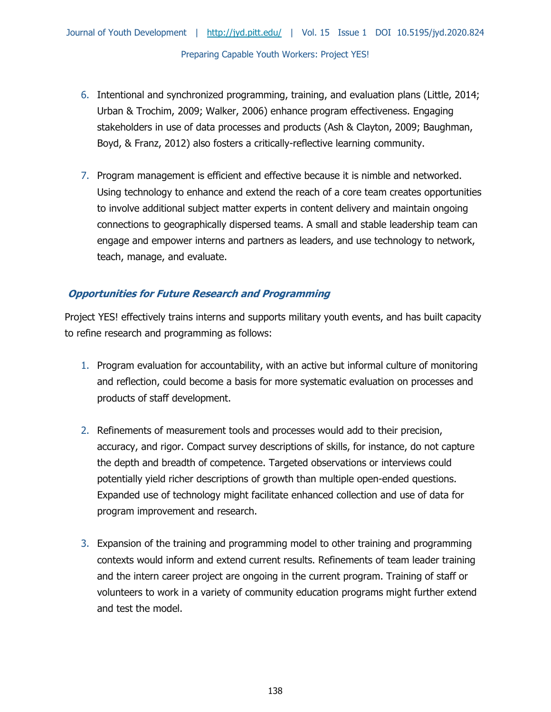- 6. Intentional and synchronized programming, training, and evaluation plans (Little, 2014; Urban & Trochim, 2009; Walker, 2006) enhance program effectiveness. Engaging stakeholders in use of data processes and products (Ash & Clayton, 2009; Baughman, Boyd, & Franz, 2012) also fosters a critically-reflective learning community.
- 7. Program management is efficient and effective because it is nimble and networked. Using technology to enhance and extend the reach of a core team creates opportunities to involve additional subject matter experts in content delivery and maintain ongoing connections to geographically dispersed teams. A small and stable leadership team can engage and empower interns and partners as leaders, and use technology to network, teach, manage, and evaluate.

# **Opportunities for Future Research and Programming**

Project YES! effectively trains interns and supports military youth events, and has built capacity to refine research and programming as follows:

- 1. Program evaluation for accountability, with an active but informal culture of monitoring and reflection, could become a basis for more systematic evaluation on processes and products of staff development.
- 2. Refinements of measurement tools and processes would add to their precision, accuracy, and rigor. Compact survey descriptions of skills, for instance, do not capture the depth and breadth of competence. Targeted observations or interviews could potentially yield richer descriptions of growth than multiple open-ended questions. Expanded use of technology might facilitate enhanced collection and use of data for program improvement and research.
- 3. Expansion of the training and programming model to other training and programming contexts would inform and extend current results. Refinements of team leader training and the intern career project are ongoing in the current program. Training of staff or volunteers to work in a variety of community education programs might further extend and test the model.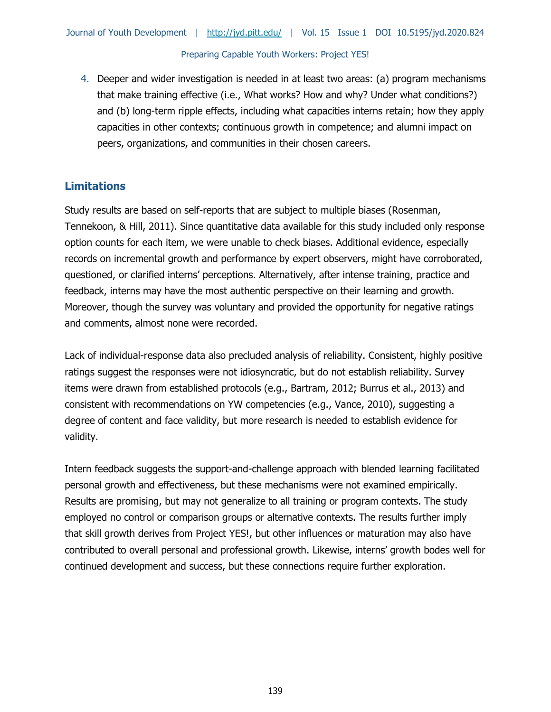4. Deeper and wider investigation is needed in at least two areas: (a) program mechanisms that make training effective (i.e., What works? How and why? Under what conditions?) and (b) long-term ripple effects, including what capacities interns retain; how they apply capacities in other contexts; continuous growth in competence; and alumni impact on peers, organizations, and communities in their chosen careers.

# **Limitations**

Study results are based on self-reports that are subject to multiple biases (Rosenman, Tennekoon, & Hill, 2011). Since quantitative data available for this study included only response option counts for each item, we were unable to check biases. Additional evidence, especially records on incremental growth and performance by expert observers, might have corroborated, questioned, or clarified interns' perceptions. Alternatively, after intense training, practice and feedback, interns may have the most authentic perspective on their learning and growth. Moreover, though the survey was voluntary and provided the opportunity for negative ratings and comments, almost none were recorded.

Lack of individual-response data also precluded analysis of reliability. Consistent, highly positive ratings suggest the responses were not idiosyncratic, but do not establish reliability. Survey items were drawn from established protocols (e.g., Bartram, 2012; Burrus et al., 2013) and consistent with recommendations on YW competencies (e.g., Vance, 2010), suggesting a degree of content and face validity, but more research is needed to establish evidence for validity.

Intern feedback suggests the support-and-challenge approach with blended learning facilitated personal growth and effectiveness, but these mechanisms were not examined empirically. Results are promising, but may not generalize to all training or program contexts. The study employed no control or comparison groups or alternative contexts. The results further imply that skill growth derives from Project YES!, but other influences or maturation may also have contributed to overall personal and professional growth. Likewise, interns' growth bodes well for continued development and success, but these connections require further exploration.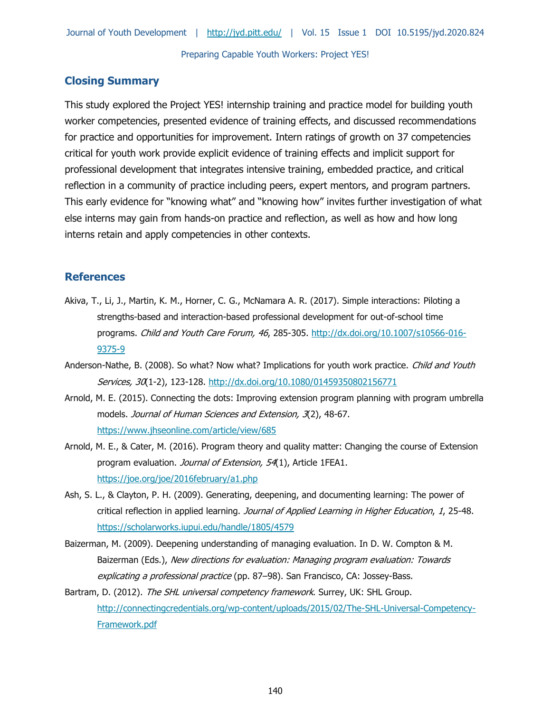# **Closing Summary**

This study explored the Project YES! internship training and practice model for building youth worker competencies, presented evidence of training effects, and discussed recommendations for practice and opportunities for improvement. Intern ratings of growth on 37 competencies critical for youth work provide explicit evidence of training effects and implicit support for professional development that integrates intensive training, embedded practice, and critical reflection in a community of practice including peers, expert mentors, and program partners. This early evidence for "knowing what" and "knowing how" invites further investigation of what else interns may gain from hands-on practice and reflection, as well as how and how long interns retain and apply competencies in other contexts.

### **References**

- Akiva, T., Li, J., Martin, K. M., Horner, C. G., McNamara A. R. (2017). Simple interactions: Piloting a strengths-based and interaction-based professional development for out-of-school time programs. Child and Youth Care Forum, 46, 285-305. [http://dx.doi.org/10.1007/s10566-016-](http://dx.doi.org/10.1007/s10566-016-9375-9) [9375-9](http://dx.doi.org/10.1007/s10566-016-9375-9)
- Anderson-Nathe, B. (2008). So what? Now what? Implications for youth work practice. Child and Youth Services, 30(1-2), 123-128.<http://dx.doi.org/10.1080/01459350802156771>
- Arnold, M. E. (2015). Connecting the dots: Improving extension program planning with program umbrella models. Journal of Human Sciences and Extension, 3(2), 48-67. <https://www.jhseonline.com/article/view/685>
- Arnold, M. E., & Cater, M. (2016). Program theory and quality matter: Changing the course of Extension program evaluation. Journal of Extension, 54(1), Article 1FEA1. <https://joe.org/joe/2016february/a1.php>
- Ash, S. L., & Clayton, P. H. (2009). Generating, deepening, and documenting learning: The power of critical reflection in applied learning. Journal of Applied Learning in Higher Education, 1, 25-48. <https://scholarworks.iupui.edu/handle/1805/4579>
- Baizerman, M. (2009). Deepening understanding of managing evaluation. In D. W. Compton & M. Baizerman (Eds.), New directions for evaluation: Managing program evaluation: Towards explicating a professional practice (pp. 87-98). San Francisco, CA: Jossey-Bass.
- Bartram, D. (2012). The SHL universal competency framework. Surrey, UK: SHL Group. [http://connectingcredentials.org/wp-content/uploads/2015/02/The-SHL-Universal-Competency-](http://connectingcredentials.org/wp-content/uploads/2015/02/The-SHL-Universal-Competency-Framework.pdf)[Framework.pdf](http://connectingcredentials.org/wp-content/uploads/2015/02/The-SHL-Universal-Competency-Framework.pdf)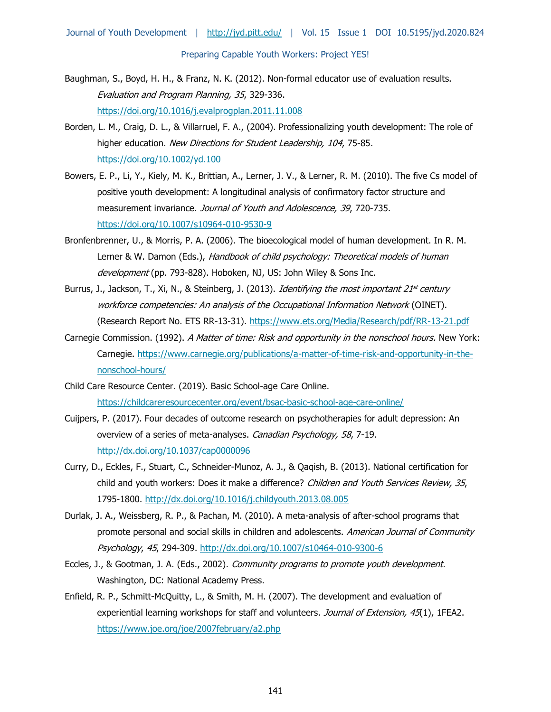- Baughman, S., Boyd, H. H., & Franz, N. K. (2012). Non-formal educator use of evaluation results. Evaluation and Program Planning, 35, 329-336. <https://doi.org/10.1016/j.evalprogplan.2011.11.008>
- Borden, L. M., Craig, D. L., & Villarruel, F. A., (2004). Professionalizing youth development: The role of higher education. New Directions for Student Leadership, 104, 75-85. <https://doi.org/10.1002/yd.100>
- Bowers, E. P., Li, Y., Kiely, M. K., Brittian, A., Lerner, J. V., & Lerner, R. M. (2010). The five Cs model of positive youth development: A longitudinal analysis of confirmatory factor structure and measurement invariance. Journal of Youth and Adolescence, 39, 720-735. <https://doi.org/10.1007/s10964-010-9530-9>
- Bronfenbrenner, U., & Morris, P. A. (2006). The bioecological model of human development. In R. M. Lerner & W. Damon (Eds.), Handbook of child psychology: Theoretical models of human development (pp. 793-828). Hoboken, NJ, US: John Wiley & Sons Inc.
- Burrus, J., Jackson, T., Xi, N., & Steinberg, J. (2013). *Identifying the most important 21<sup>st</sup> century* workforce competencies: An analysis of the Occupational Information Network (OINET). (Research Report No. ETS RR-13-31).<https://www.ets.org/Media/Research/pdf/RR-13-21.pdf>
- Carnegie Commission. (1992). A Matter of time: Risk and opportunity in the nonschool hours. New York: Carnegie. [https://www.carnegie.org/publications/a-matter-of-time-risk-and-opportunity-in-the](https://www.carnegie.org/publications/a-matter-of-time-risk-and-opportunity-in-the-nonschool-hours/)[nonschool-hours/](https://www.carnegie.org/publications/a-matter-of-time-risk-and-opportunity-in-the-nonschool-hours/)
- Child Care Resource Center. (2019). Basic School-age Care Online. <https://childcareresourcecenter.org/event/bsac-basic-school-age-care-online/>
- Cuijpers, P. (2017). Four decades of outcome research on psychotherapies for adult depression: An overview of a series of meta-analyses[.](http://dx.doi.org/10.1037/cap0000096) Canadian Psychology, 58, 7-19. <http://dx.doi.org/10.1037/cap0000096>
- Curry, D., Eckles, F., Stuart, C., Schneider-Munoz, A. J., & Qaqish, B. (2013). National certification for child and youth workers: Does it make a difference? Children and Youth Services Review, 35, 1795-1800.<http://dx.doi.org/10.1016/j.childyouth.2013.08.005>
- Durlak, J. A., Weissberg, R. P., & Pachan, M. (2010). A meta-analysis of after-school programs that promote personal and social skills in children and adolescents. American Journal of Community Psychology, 45, 294-309.<http://dx.doi.org/10.1007/s10464-010-9300-6>
- Eccles, J., & Gootman, J. A. (Eds., 2002). Community programs to promote youth development. Washington, DC: National Academy Press.
- Enfield, R. P., Schmitt-McQuitty, L., & Smith, M. H. (2007). The development and evaluation of experiential learning workshops for staff and volunteers. Journal of Extension, 45(1), 1FEA2. <https://www.joe.org/joe/2007february/a2.php>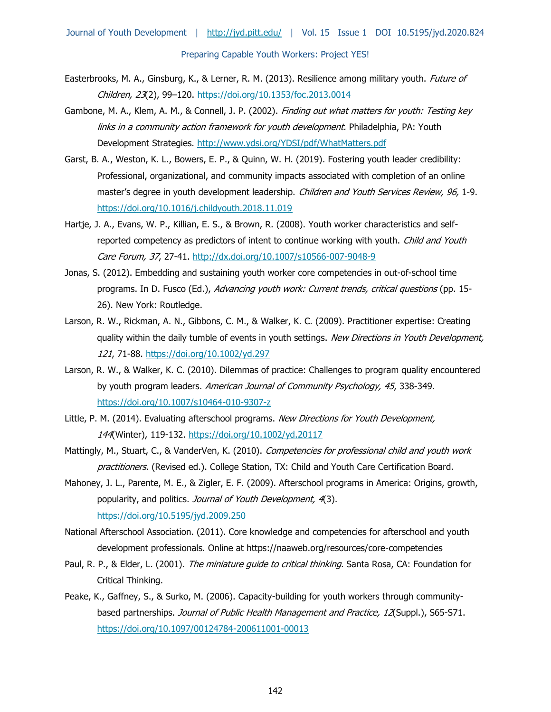- Easterbrooks, M. A., Ginsburg, K., & Lerner, R. M. (2013). Resilience among military youth. *Future of* Children, 23(2), 99–120.<https://doi.org/10.1353/foc.2013.0014>
- Gambone, M. A., Klem, A. M., & Connell, J. P. (2002). Finding out what matters for youth: Testing key links in a community action framework for youth development. Philadelphia, PA: Youth Development Strategies.<http://www.ydsi.org/YDSI/pdf/WhatMatters.pdf>
- Garst, B. A., Weston, K. L., Bowers, E. P., & Quinn, W. H. (2019). Fostering youth leader credibility: Professional, organizational, and community impacts associated with completion of an online master's degree in youth development leadership. Children and Youth Services Review, 96, 1-9. <https://doi.org/10.1016/j.childyouth.2018.11.019>
- Hartje, J. A., Evans, W. P., Killian, E. S., & Brown, R. (2008). Youth worker characteristics and selfreported competency as predictors of intent to continue working with youth. Child and Youth Care Forum, 37, 27-41.<http://dx.doi.org/10.1007/s10566-007-9048-9>
- Jonas, S. (2012). Embedding and sustaining youth worker core competencies in out-of-school time programs. In D. Fusco (Ed.), Advancing youth work: Current trends, critical questions (pp. 15-26). New York: Routledge.
- Larson, R. W., Rickman, A. N., Gibbons, C. M., & Walker, K. C. (2009). Practitioner expertise: Creating quality within the daily tumble of events in youth settings. New Directions in Youth Development, 121, 71-88.<https://doi.org/10.1002/yd.297>
- Larson, R. W., & Walker, K. C. (2010). Dilemmas of practice: Challenges to program quality encountered by youth program leaders. American Journal of Community Psychology, 45, 338-349. <https://doi.org/10.1007/s10464-010-9307-z>
- Little, P. M. (2014). Evaluating afterschool programs. New Directions for Youth Development, 144(Winter), 119-132.<https://doi.org/10.1002/yd.20117>
- Mattingly, M., Stuart, C., & VanderVen, K. (2010). Competencies for professional child and youth work practitioners. (Revised ed.). College Station, TX: Child and Youth Care Certification Board.
- Mahoney, J. L., Parente, M. E., & Zigler, E. F. (2009). Afterschool programs in America: Origins, growth, popularity, and politics. Journal of Youth Development, 4(3). <https://doi.org/10.5195/jyd.2009.250>
- National Afterschool Association. (2011). Core knowledge and competencies for afterschool and youth development professionals. Online at https://naaweb.org/resources/core-competencies
- Paul, R. P., & Elder, L. (2001). The miniature guide to critical thinking. Santa Rosa, CA: Foundation for Critical Thinking.
- Peake, K., Gaffney, S., & Surko, M. (2006). Capacity-building for youth workers through communitybased partnerships. Journal of Public Health Management and Practice, 12(Suppl.), S65-S71. <https://doi.org/10.1097/00124784-200611001-00013>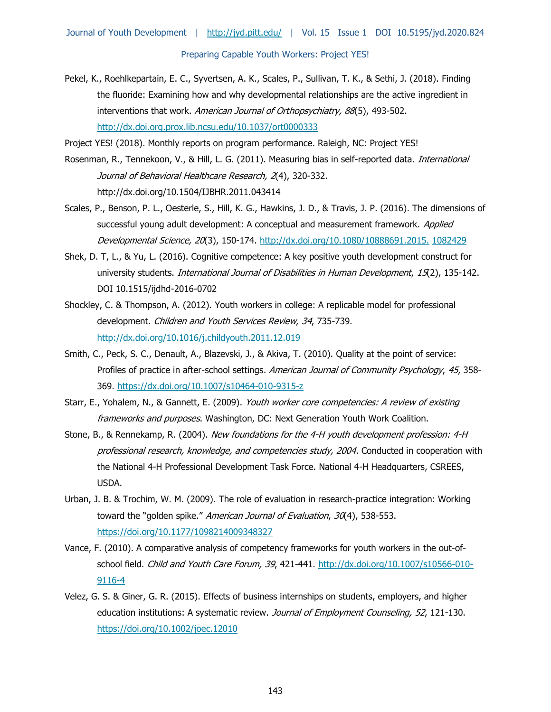Pekel, K., Roehlkepartain, E. C., Syvertsen, A. K., Scales, P., Sullivan, T. K., & Sethi, J. (2018). Finding the fluoride: Examining how and why developmental relationships are the active ingredient in interventions that work. American Journal of Orthopsychiatry, 88(5), 493-502. <http://dx.doi.org.prox.lib.ncsu.edu/10.1037/ort0000333>

Project YES! (2018). Monthly reports on program performance. Raleigh, NC: Project YES!

- Rosenman, R., Tennekoon, V., & Hill, L. G. (2011). Measuring bias in self-reported data. *International* Journal of Behavioral Healthcare Research, 2(4), 320-332. http://dx.doi.org/10.1504/IJBHR.2011.043414
- Scales, P., Benson, P. L., Oesterle, S., Hill, K. G., Hawkins, J. D., & Travis, J. P. (2016). The dimensions of successful young adult development: A conceptual and measurement framework. Applied Developmental Science, 20(3), 150-174. [http://dx.doi.org/10.1080/10888691.2015.](http://dx.doi.org/10.1080/10888691.2015.1082429) [1082429](http://dx.doi.org/10.1080/10888691.2015.1082429)
- Shek, D. T, L., & Yu, L. (2016). Cognitive competence: A key positive youth development construct for university students. International Journal of Disabilities in Human Development, 15(2), 135-142. DOI 10.1515/ijdhd-2016-0702
- Shockley, C. & Thompson, A. (2012). Youth workers in college: A replicable model for professional development. Children and Youth Services Review, 34, 735-739. <http://dx.doi.org/10.1016/j.childyouth.2011.12.019>
- Smith, C., Peck, S. C., Denault, A., Blazevski, J., & Akiva, T. (2010). Quality at the point of service: Profiles of practice in after-school settings. American Journal of Community Psychology, 45, 358-369. <https://dx.doi.org/10.1007/s10464-010-9315-z>
- Starr, E., Yohalem, N., & Gannett, E. (2009). Youth worker core competencies: A review of existing frameworks and purposes. Washington, DC: Next Generation Youth Work Coalition.
- Stone, B., & Rennekamp, R. (2004). New foundations for the 4-H youth development profession: 4-H professional research, knowledge, and competencies study, 2004. Conducted in cooperation with the National 4-H Professional Development Task Force. National 4-H Headquarters, CSREES, USDA.
- Urban, J. B. & Trochim, W. M. (2009). The role of evaluation in research-practice integration: Working toward the "golden spike." American Journal of Evaluation, 30(4), 538-553. <https://doi.org/10.1177/1098214009348327>
- Vance, F. (2010). A comparative analysis of competency frameworks for youth workers in the out-ofschool field. Child and Youth Care Forum, 39, 421-441. [http://dx.doi.org/10.1007/s10566-010-](http://dx.doi.org/10.1007/s10566-010-9116-4) [9116-4](http://dx.doi.org/10.1007/s10566-010-9116-4)
- Velez, G. S. & Giner, G. R. (2015). Effects of business internships on students, employers, and higher education institutions: A systematic review. Journal of Employment Counseling, 52, 121-130. <https://doi.org/10.1002/joec.12010>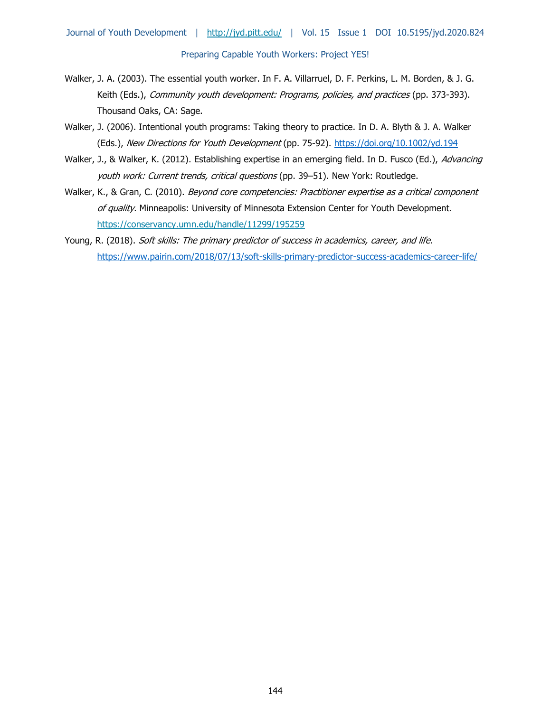- Walker, J. A. (2003). The essential youth worker. In F. A. Villarruel, D. F. Perkins, L. M. Borden, & J. G. Keith (Eds.), Community youth development: Programs, policies, and practices (pp. 373-393). Thousand Oaks, CA: Sage.
- Walker, J. (2006). Intentional youth programs: Taking theory to practice. In D. A. Blyth & J. A. Walker (Eds.), New Directions for Youth Development (pp. 75-92).<https://doi.org/10.1002/yd.194>
- Walker, J., & Walker, K. (2012). Establishing expertise in an emerging field. In D. Fusco (Ed.), Advancing youth work: Current trends, critical questions (pp. 39-51). New York: Routledge.
- Walker, K., & Gran, C. (2010). Beyond core competencies: Practitioner expertise as a critical component of quality. Minneapolis: University of Minnesota Extension Center for Youth Development. <https://conservancy.umn.edu/handle/11299/195259>
- Young, R. (2018). Soft skills: The primary predictor of success in academics, career, and life. <https://www.pairin.com/2018/07/13/soft-skills-primary-predictor-success-academics-career-life/>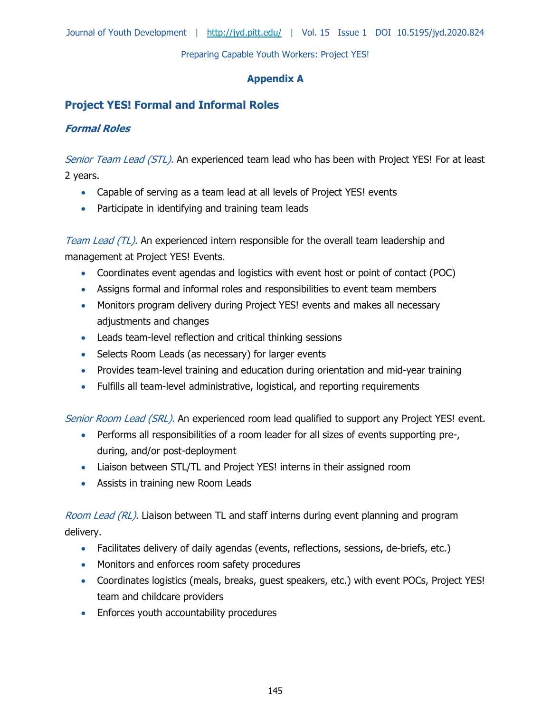Journal of Youth Development | <http://jyd.pitt.edu/>| Vol. 15 Issue 1 DOI 10.5195/jyd.2020.824

Preparing Capable Youth Workers: Project YES!

### **Appendix A**

# **Project YES! Formal and Informal Roles**

# **Formal Roles**

Senior Team Lead (STL). An experienced team lead who has been with Project YES! For at least 2 years.

- Capable of serving as a team lead at all levels of Project YES! events
- Participate in identifying and training team leads

Team Lead (TL). An experienced intern responsible for the overall team leadership and management at Project YES! Events.

- Coordinates event agendas and logistics with event host or point of contact (POC)
- Assigns formal and informal roles and responsibilities to event team members
- Monitors program delivery during Project YES! events and makes all necessary adjustments and changes
- Leads team-level reflection and critical thinking sessions
- Selects Room Leads (as necessary) for larger events
- Provides team-level training and education during orientation and mid-year training
- Fulfills all team-level administrative, logistical, and reporting requirements

Senior Room Lead (SRL). An experienced room lead qualified to support any Project YES! event.

- Performs all responsibilities of a room leader for all sizes of events supporting pre-, during, and/or post-deployment
- Liaison between STL/TL and Project YES! interns in their assigned room
- Assists in training new Room Leads

Room Lead (RL). Liaison between TL and staff interns during event planning and program delivery.

- Facilitates delivery of daily agendas (events, reflections, sessions, de-briefs, etc.)
- Monitors and enforces room safety procedures
- Coordinates logistics (meals, breaks, guest speakers, etc.) with event POCs, Project YES! team and childcare providers
- Enforces youth accountability procedures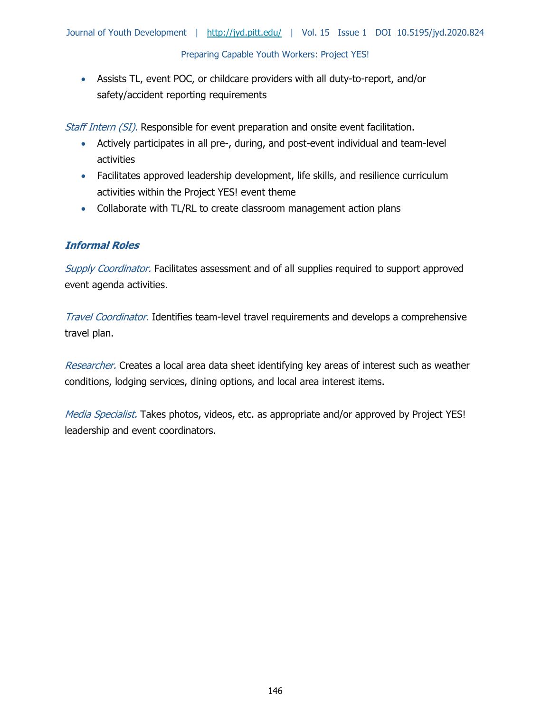Assists TL, event POC, or childcare providers with all duty-to-report, and/or safety/accident reporting requirements

Staff Intern (SI). Responsible for event preparation and onsite event facilitation.

- Actively participates in all pre-, during, and post-event individual and team-level activities
- Facilitates approved leadership development, life skills, and resilience curriculum activities within the Project YES! event theme
- Collaborate with TL/RL to create classroom management action plans

# **Informal Roles**

Supply Coordinator. Facilitates assessment and of all supplies required to support approved event agenda activities.

Travel Coordinator. Identifies team-level travel requirements and develops a comprehensive travel plan.

Researcher. Creates a local area data sheet identifying key areas of interest such as weather conditions, lodging services, dining options, and local area interest items.

Media Specialist. Takes photos, videos, etc. as appropriate and/or approved by Project YES! leadership and event coordinators.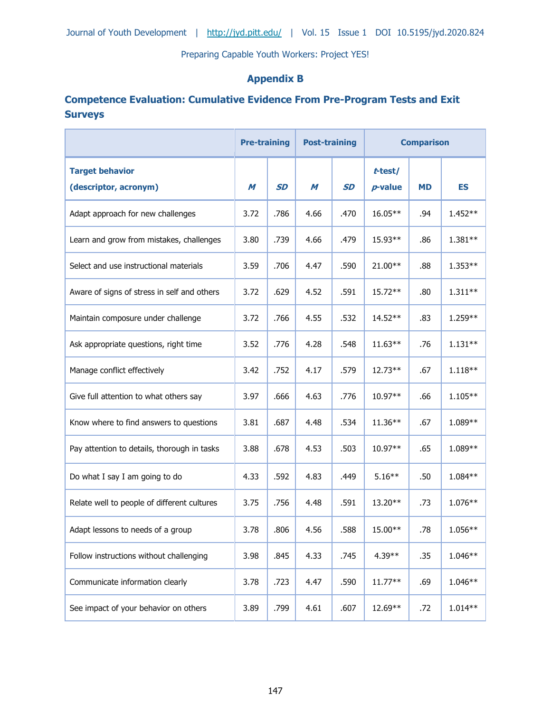# **Appendix B**

# **Competence Evaluation: Cumulative Evidence From Pre-Program Tests and Exit Surveys**

|                                                 | <b>Pre-training</b> |           | <b>Post-training</b> |           | <b>Comparison</b>     |           |           |
|-------------------------------------------------|---------------------|-----------|----------------------|-----------|-----------------------|-----------|-----------|
| <b>Target behavior</b><br>(descriptor, acronym) | M                   | <b>SD</b> | M                    | <b>SD</b> | t-test/<br>$p$ -value | <b>MD</b> | <b>ES</b> |
| Adapt approach for new challenges               | 3.72                | .786      | 4.66                 | .470      | 16.05**               | .94       | 1.452**   |
| Learn and grow from mistakes, challenges        | 3.80                | .739      | 4.66                 | .479      | 15.93**               | .86       | 1.381**   |
| Select and use instructional materials          | 3.59                | .706      | 4.47                 | .590      | $21.00**$             | .88       | 1.353**   |
| Aware of signs of stress in self and others     | 3.72                | .629      | 4.52                 | .591      | $15.72**$             | .80       | $1.311**$ |
| Maintain composure under challenge              | 3.72                | .766      | 4.55                 | .532      | 14.52**               | .83       | 1.259**   |
| Ask appropriate questions, right time           | 3.52                | .776      | 4.28                 | .548      | $11.63**$             | .76       | $1.131**$ |
| Manage conflict effectively                     | 3.42                | .752      | 4.17                 | .579      | 12.73**               | .67       | $1.118**$ |
| Give full attention to what others say          | 3.97                | .666      | 4.63                 | .776      | $10.97**$             | .66       | $1.105**$ |
| Know where to find answers to questions         | 3.81                | .687      | 4.48                 | .534      | $11.36**$             | .67       | 1.089**   |
| Pay attention to details, thorough in tasks     | 3.88                | .678      | 4.53                 | .503      | $10.97**$             | .65       | 1.089**   |
| Do what I say I am going to do                  | 4.33                | .592      | 4.83                 | .449      | $5.16***$             | .50       | 1.084**   |
| Relate well to people of different cultures     | 3.75                | .756      | 4.48                 | .591      | $13.20**$             | .73       | 1.076**   |
| Adapt lessons to needs of a group               | 3.78                | .806      | 4.56                 | .588      | 15.00**               | .78       | 1.056**   |
| Follow instructions without challenging         | 3.98                | .845      | 4.33                 | .745      | 4.39**                | .35       | 1.046**   |
| Communicate information clearly                 | 3.78                | .723      | 4.47                 | .590      | $11.77**$             | .69       | 1.046**   |
| See impact of your behavior on others           | 3.89                | .799      | 4.61                 | .607      | 12.69**               | .72       | $1.014**$ |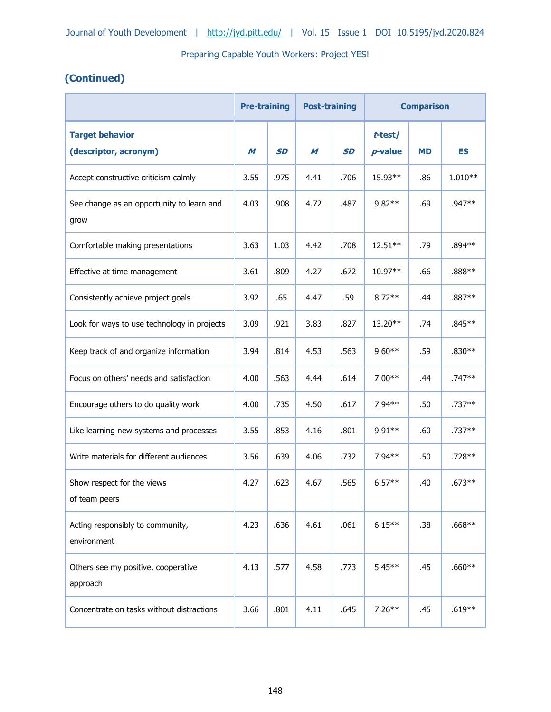# **(Continued)**

|                                                   | <b>Pre-training</b> |           | <b>Post-training</b> |           | <b>Comparison</b>     |           |           |
|---------------------------------------------------|---------------------|-----------|----------------------|-----------|-----------------------|-----------|-----------|
| <b>Target behavior</b><br>(descriptor, acronym)   | M                   | <b>SD</b> | M                    | <b>SD</b> | t-test/<br>$p$ -value | <b>MD</b> | <b>ES</b> |
| Accept constructive criticism calmly              | 3.55                | .975      | 4.41                 | .706      | 15.93**               | .86       | $1.010**$ |
| See change as an opportunity to learn and<br>grow | 4.03                | .908      | 4.72                 | .487      | $9.82**$              | .69       | .947**    |
| Comfortable making presentations                  | 3.63                | 1.03      | 4.42                 | .708      | 12.51**               | .79       | .894 **   |
| Effective at time management                      | 3.61                | .809      | 4.27                 | .672      | $10.97**$             | .66       | $.888**$  |
| Consistently achieve project goals                | 3.92                | .65       | 4.47                 | .59       | $8.72**$              | .44       | .887**    |
| Look for ways to use technology in projects       | 3.09                | .921      | 3.83                 | .827      | $13.20**$             | .74       | $.845**$  |
| Keep track of and organize information            | 3.94                | .814      | 4.53                 | .563      | $9.60**$              | .59       | .830**    |
| Focus on others' needs and satisfaction           | 4.00                | .563      | 4.44                 | .614      | $7.00**$              | .44       | .747**    |
| Encourage others to do quality work               | 4.00                | .735      | 4.50                 | .617      | $7.94**$              | .50       | $.737**$  |
| Like learning new systems and processes           | 3.55                | .853      | 4.16                 | .801      | $9.91**$              | .60       | .737**    |
| Write materials for different audiences           | 3.56                | .639      | 4.06                 | .732      | $7.94**$              | .50       | .728**    |
| Show respect for the views<br>of team peers       | 4.27                | .623      | 4.67                 | .565      | $6.57**$              | .40       | $.673**$  |
| Acting responsibly to community,<br>environment   | 4.23                | .636      | 4.61                 | .061      | $6.15***$             | .38       | $.668**$  |
| Others see my positive, cooperative<br>approach   | 4.13                | .577      | 4.58                 | .773      | $5.45***$             | .45       | $.660**$  |
| Concentrate on tasks without distractions         | 3.66                | .801      | 4.11                 | .645      | $7.26***$             | .45       | $.619**$  |